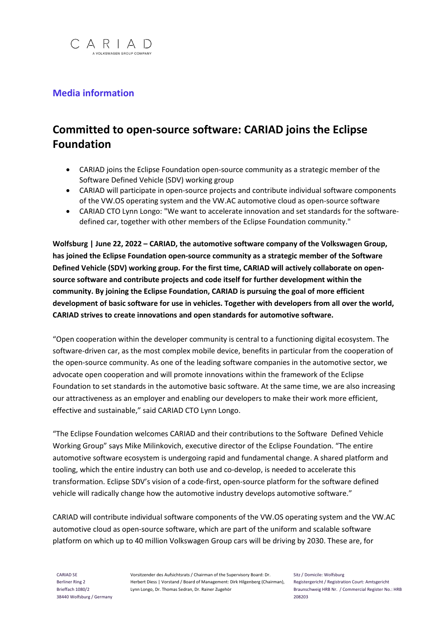

## **Media information**

## **Committed to open-source software: CARIAD joins the Eclipse Foundation**

- CARIAD joins the Eclipse Foundation open-source community as a strategic member of the Software Defined Vehicle (SDV) working group
- CARIAD will participate in open-source projects and contribute individual software components of the VW.OS operating system and the VW.AC automotive cloud as open-source software
- CARIAD CTO Lynn Longo: "We want to accelerate innovation and set standards for the softwaredefined car, together with other members of the Eclipse Foundation community."

**Wolfsburg | June 22, 2022 – CARIAD, the automotive software company of the Volkswagen Group, has joined the Eclipse Foundation open-source community as a strategic member of the Software Defined Vehicle (SDV) working group. For the first time, CARIAD will actively collaborate on opensource software and contribute projects and code itself for further development within the community. By joining the Eclipse Foundation, CARIAD is pursuing the goal of more efficient development of basic software for use in vehicles. Together with developers from all over the world, CARIAD strives to create innovations and open standards for automotive software.** 

"Open cooperation within the developer community is central to a functioning digital ecosystem. The software-driven car, as the most complex mobile device, benefits in particular from the cooperation of the open-source community. As one of the leading software companies in the automotive sector, we advocate open cooperation and will promote innovations within the framework of the Eclipse Foundation to set standards in the automotive basic software. At the same time, we are also increasing our attractiveness as an employer and enabling our developers to make their work more efficient, effective and sustainable," said CARIAD CTO Lynn Longo.

"The Eclipse Foundation welcomes CARIAD and their contributions to the Software Defined Vehicle Working Group" says Mike Milinkovich, executive director of the Eclipse Foundation. "The entire automotive software ecosystem is undergoing rapid and fundamental change. A shared platform and tooling, which the entire industry can both use and co-develop, is needed to accelerate this transformation. Eclipse SDV's vision of a code-first, open-source platform for the software defined vehicle will radically change how the automotive industry develops automotive software."

CARIAD will contribute individual software components of the VW.OS operating system and the VW.AC automotive cloud as open-source software, which are part of the uniform and scalable software platform on which up to 40 million Volkswagen Group cars will be driving by 2030. These are, for

Vorsitzender des Aufsichtsrats / Chairman of the Supervisory Board: Dr. Herbert Diess | Vorstand / Board of Management: Dirk Hilgenberg (Chairman), Lynn Longo, Dr. Thomas Sedran, Dr. Rainer Zugehör